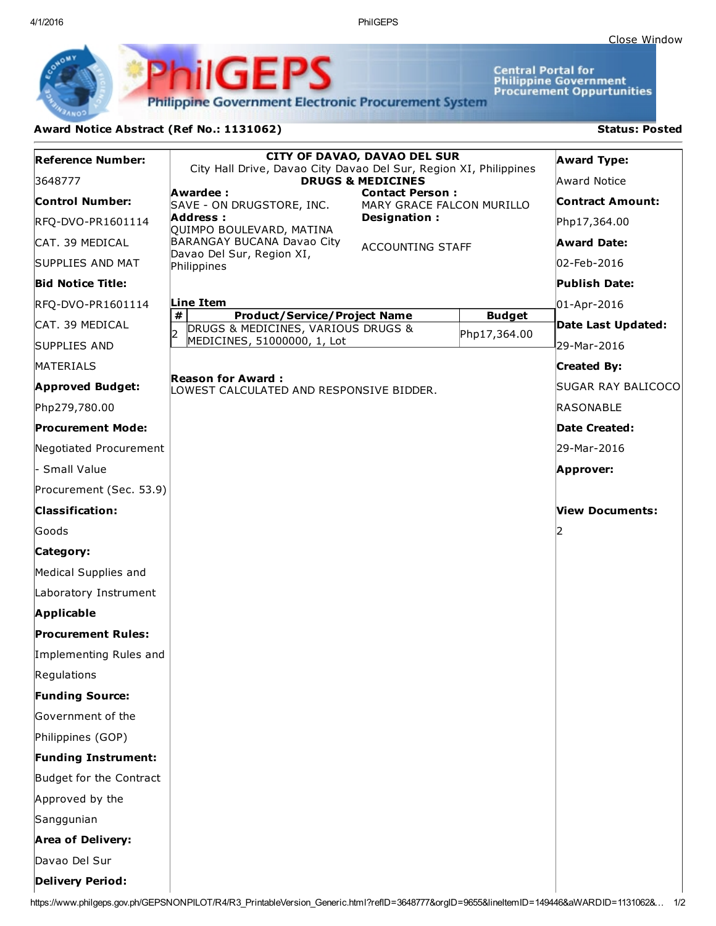4/1/2016 PhilGEPS

Central Portal for<br>Philippine Government<br>Procurement Oppurtunities

**Philippine Government Electronic Procurement System** 

PhilGEPS

## Award Notice Abstract (Ref No.: 1131062) Status: Posted

| <b>Reference Number:</b>   | <b>CITY OF DAVAO, DAVAO DEL SUR</b><br>City Hall Drive, Davao City Davao Del Sur, Region XI, Philippines |                                                     |                               | <b>Award Type:</b>      |
|----------------------------|----------------------------------------------------------------------------------------------------------|-----------------------------------------------------|-------------------------------|-------------------------|
| 3648777                    | <b>DRUGS &amp; MEDICINES</b>                                                                             |                                                     | <b>Award Notice</b>           |                         |
| <b>Control Number:</b>     | Awardee:<br>SAVE - ON DRUGSTORE, INC.                                                                    | <b>Contact Person:</b><br>MARY GRACE FALCON MURILLO |                               | <b>Contract Amount:</b> |
| RFQ-DVO-PR1601114          | Address:<br>QUIMPO BOULEVARD, MATINA                                                                     | Designation:                                        |                               | Php17,364.00            |
| ICAT. 39 MEDICAL           | BARANGAY BUCANA Davao City                                                                               | <b>ACCOUNTING STAFF</b>                             |                               | <b>Award Date:</b>      |
| SUPPLIES AND MAT           | Davao Del Sur, Region XI,<br>Philippines                                                                 |                                                     |                               | 02-Feb-2016             |
| <b>Bid Notice Title:</b>   |                                                                                                          |                                                     |                               | <b>Publish Date:</b>    |
| RFQ-DVO-PR1601114          | Line Item                                                                                                |                                                     |                               | 01-Apr-2016             |
| ICAT. 39 MEDICAL           | #<br><b>Product/Service/Project Name</b><br>DRUGS & MEDICINES, VARIOUS DRUGS &<br>ID.                    |                                                     | <b>Budget</b><br>Php17,364.00 | Date Last Updated:      |
| <b>SUPPLIES AND</b>        | MEDICINES, 51000000, 1, Lot                                                                              |                                                     |                               | 29-Mar-2016             |
| MATERIALS                  |                                                                                                          |                                                     |                               | <b>Created By:</b>      |
| <b>Approved Budget:</b>    | <b>Reason for Award :</b><br>LOWEST CALCULATED AND RESPONSIVE BIDDER.                                    |                                                     |                               | SUGAR RAY BALICOCO      |
| Php279,780.00              |                                                                                                          |                                                     |                               | RASONABLE               |
| <b>Procurement Mode:</b>   |                                                                                                          |                                                     |                               | Date Created:           |
| Negotiated Procurement     |                                                                                                          |                                                     |                               | 29-Mar-2016             |
| - Small Value              |                                                                                                          |                                                     |                               | Approver:               |
| Procurement (Sec. 53.9)    |                                                                                                          |                                                     |                               |                         |
| <b>Classification:</b>     |                                                                                                          |                                                     |                               | <b>View Documents:</b>  |
| Goods                      |                                                                                                          |                                                     |                               | 2                       |
| Category:                  |                                                                                                          |                                                     |                               |                         |
| Medical Supplies and       |                                                                                                          |                                                     |                               |                         |
| Laboratory Instrument      |                                                                                                          |                                                     |                               |                         |
| <b>Applicable</b>          |                                                                                                          |                                                     |                               |                         |
| <b>Procurement Rules:</b>  |                                                                                                          |                                                     |                               |                         |
| Implementing Rules and     |                                                                                                          |                                                     |                               |                         |
| Regulations                |                                                                                                          |                                                     |                               |                         |
| <b>Funding Source:</b>     |                                                                                                          |                                                     |                               |                         |
| Government of the          |                                                                                                          |                                                     |                               |                         |
| Philippines (GOP)          |                                                                                                          |                                                     |                               |                         |
| <b>Funding Instrument:</b> |                                                                                                          |                                                     |                               |                         |
| Budget for the Contract    |                                                                                                          |                                                     |                               |                         |
| Approved by the            |                                                                                                          |                                                     |                               |                         |
| Sanggunian                 |                                                                                                          |                                                     |                               |                         |
| <b>Area of Delivery:</b>   |                                                                                                          |                                                     |                               |                         |
| Davao Del Sur              |                                                                                                          |                                                     |                               |                         |
| <b>Delivery Period:</b>    |                                                                                                          |                                                     |                               |                         |